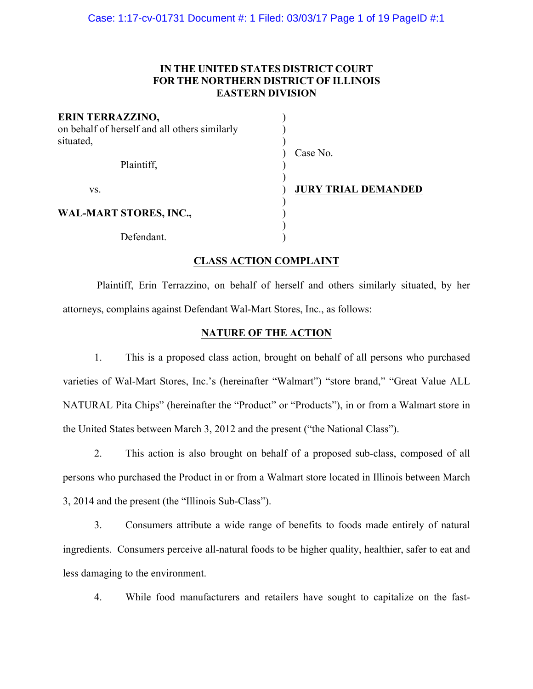# **IN THE UNITED STATES DISTRICT COURT FOR THE NORTHERN DISTRICT OF ILLINOIS EASTERN DIVISION**

| <b>ERIN TERRAZZINO,</b><br>on behalf of herself and all others similarly<br>situated, |                            |
|---------------------------------------------------------------------------------------|----------------------------|
| Plaintiff,                                                                            | Case No.                   |
|                                                                                       |                            |
| VS.                                                                                   | <b>JURY TRIAL DEMANDED</b> |
| <b>WAL-MART STORES, INC.,</b>                                                         |                            |
| Defendant.                                                                            |                            |

# **CLASS ACTION COMPLAINT**

Plaintiff, Erin Terrazzino, on behalf of herself and others similarly situated, by her attorneys, complains against Defendant Wal-Mart Stores, Inc., as follows:

# **NATURE OF THE ACTION**

1. This is a proposed class action, brought on behalf of all persons who purchased varieties of Wal-Mart Stores, Inc.'s (hereinafter "Walmart") "store brand," "Great Value ALL NATURAL Pita Chips" (hereinafter the "Product" or "Products"), in or from a Walmart store in the United States between March 3, 2012 and the present ("the National Class").

2. This action is also brought on behalf of a proposed sub-class, composed of all persons who purchased the Product in or from a Walmart store located in Illinois between March 3, 2014 and the present (the "Illinois Sub-Class").

3. Consumers attribute a wide range of benefits to foods made entirely of natural ingredients. Consumers perceive all-natural foods to be higher quality, healthier, safer to eat and less damaging to the environment.

4. While food manufacturers and retailers have sought to capitalize on the fast-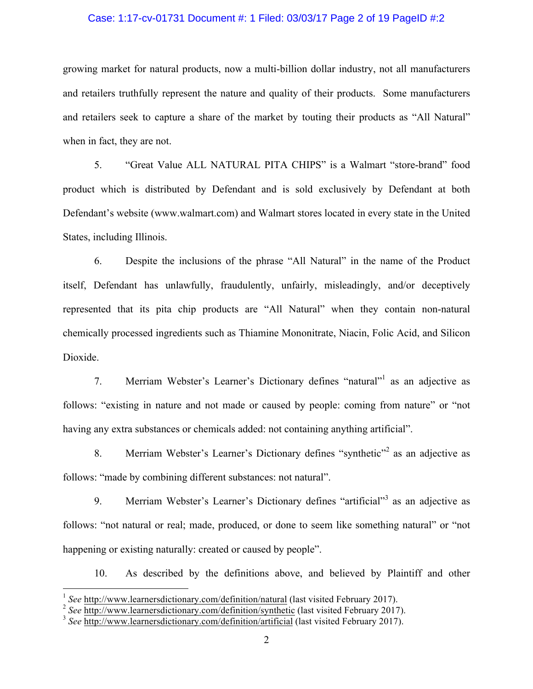#### Case: 1:17-cv-01731 Document #: 1 Filed: 03/03/17 Page 2 of 19 PageID #:2

growing market for natural products, now a multi-billion dollar industry, not all manufacturers and retailers truthfully represent the nature and quality of their products. Some manufacturers and retailers seek to capture a share of the market by touting their products as "All Natural" when in fact, they are not.

5. "Great Value ALL NATURAL PITA CHIPS" is a Walmart "store-brand" food product which is distributed by Defendant and is sold exclusively by Defendant at both Defendant's website (www.walmart.com) and Walmart stores located in every state in the United States, including Illinois.

6. Despite the inclusions of the phrase "All Natural" in the name of the Product itself, Defendant has unlawfully, fraudulently, unfairly, misleadingly, and/or deceptively represented that its pita chip products are "All Natural" when they contain non-natural chemically processed ingredients such as Thiamine Mononitrate, Niacin, Folic Acid, and Silicon Dioxide.

7. Merriam Webster's Learner's Dictionary defines "natural"1 as an adjective as follows: "existing in nature and not made or caused by people: coming from nature" or "not having any extra substances or chemicals added: not containing anything artificial".

8. Merriam Webster's Learner's Dictionary defines "synthetic"<sup>2</sup> as an adjective as follows: "made by combining different substances: not natural".

9. Merriam Webster's Learner's Dictionary defines "artificial"<sup>3</sup> as an adjective as follows: "not natural or real; made, produced, or done to seem like something natural" or "not happening or existing naturally: created or caused by people".

10. As described by the definitions above, and believed by Plaintiff and other

 <sup>1</sup> *See* http://www.learnersdictionary.com/definition/natural (last visited February 2017).

<sup>&</sup>lt;sup>2</sup> See http://www.learnersdictionary.com/definition/synthetic (last visited February 2017).

<sup>&</sup>lt;sup>3</sup> See http://www.learnersdictionary.com/definition/artificial (last visited February 2017).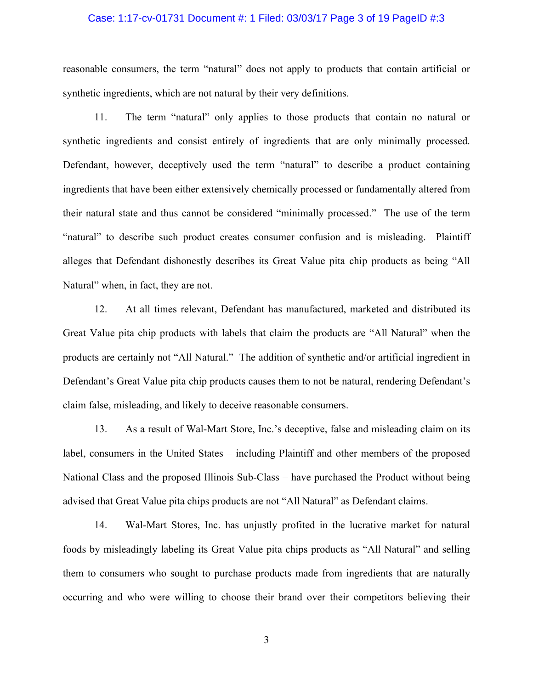#### Case: 1:17-cv-01731 Document #: 1 Filed: 03/03/17 Page 3 of 19 PageID #:3

reasonable consumers, the term "natural" does not apply to products that contain artificial or synthetic ingredients, which are not natural by their very definitions.

11. The term "natural" only applies to those products that contain no natural or synthetic ingredients and consist entirely of ingredients that are only minimally processed. Defendant, however, deceptively used the term "natural" to describe a product containing ingredients that have been either extensively chemically processed or fundamentally altered from their natural state and thus cannot be considered "minimally processed." The use of the term "natural" to describe such product creates consumer confusion and is misleading. Plaintiff alleges that Defendant dishonestly describes its Great Value pita chip products as being "All Natural" when, in fact, they are not.

12. At all times relevant, Defendant has manufactured, marketed and distributed its Great Value pita chip products with labels that claim the products are "All Natural" when the products are certainly not "All Natural." The addition of synthetic and/or artificial ingredient in Defendant's Great Value pita chip products causes them to not be natural, rendering Defendant's claim false, misleading, and likely to deceive reasonable consumers.

13. As a result of Wal-Mart Store, Inc.'s deceptive, false and misleading claim on its label, consumers in the United States – including Plaintiff and other members of the proposed National Class and the proposed Illinois Sub-Class – have purchased the Product without being advised that Great Value pita chips products are not "All Natural" as Defendant claims.

14. Wal-Mart Stores, Inc. has unjustly profited in the lucrative market for natural foods by misleadingly labeling its Great Value pita chips products as "All Natural" and selling them to consumers who sought to purchase products made from ingredients that are naturally occurring and who were willing to choose their brand over their competitors believing their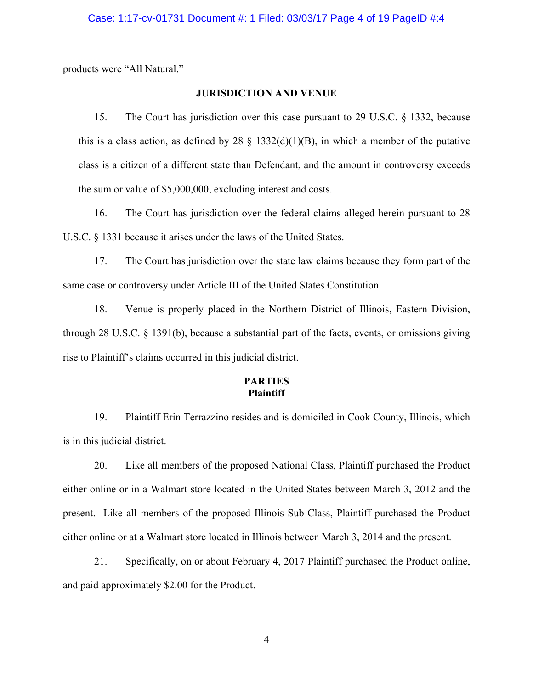products were "All Natural."

## **JURISDICTION AND VENUE**

15. The Court has jurisdiction over this case pursuant to 29 U.S.C. § 1332, because this is a class action, as defined by 28  $\S$  1332(d)(1)(B), in which a member of the putative class is a citizen of a different state than Defendant, and the amount in controversy exceeds the sum or value of \$5,000,000, excluding interest and costs.

16. The Court has jurisdiction over the federal claims alleged herein pursuant to 28 U.S.C. § 1331 because it arises under the laws of the United States.

17. The Court has jurisdiction over the state law claims because they form part of the same case or controversy under Article III of the United States Constitution.

18. Venue is properly placed in the Northern District of Illinois, Eastern Division, through 28 U.S.C.  $\S$  1391(b), because a substantial part of the facts, events, or omissions giving rise to Plaintiff's claims occurred in this judicial district.

# **PARTIES Plaintiff**

19. Plaintiff Erin Terrazzino resides and is domiciled in Cook County, Illinois, which is in this judicial district.

20. Like all members of the proposed National Class, Plaintiff purchased the Product either online or in a Walmart store located in the United States between March 3, 2012 and the present. Like all members of the proposed Illinois Sub-Class, Plaintiff purchased the Product either online or at a Walmart store located in Illinois between March 3, 2014 and the present.

21. Specifically, on or about February 4, 2017 Plaintiff purchased the Product online, and paid approximately \$2.00 for the Product.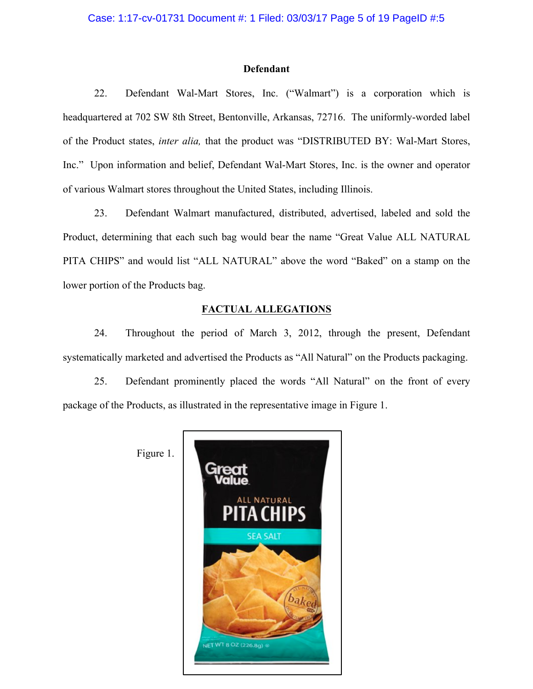#### **Defendant**

22. Defendant Wal-Mart Stores, Inc. ("Walmart") is a corporation which is headquartered at 702 SW 8th Street, Bentonville, Arkansas, 72716. The uniformly-worded label of the Product states, *inter alia,* that the product was "DISTRIBUTED BY: Wal-Mart Stores, Inc." Upon information and belief, Defendant Wal-Mart Stores, Inc. is the owner and operator of various Walmart stores throughout the United States, including Illinois.

23. Defendant Walmart manufactured, distributed, advertised, labeled and sold the Product, determining that each such bag would bear the name "Great Value ALL NATURAL PITA CHIPS" and would list "ALL NATURAL" above the word "Baked" on a stamp on the lower portion of the Products bag.

## **FACTUAL ALLEGATIONS**

24. Throughout the period of March 3, 2012, through the present, Defendant systematically marketed and advertised the Products as "All Natural" on the Products packaging.

25. Defendant prominently placed the words "All Natural" on the front of every package of the Products, as illustrated in the representative image in Figure 1.



Figure 1.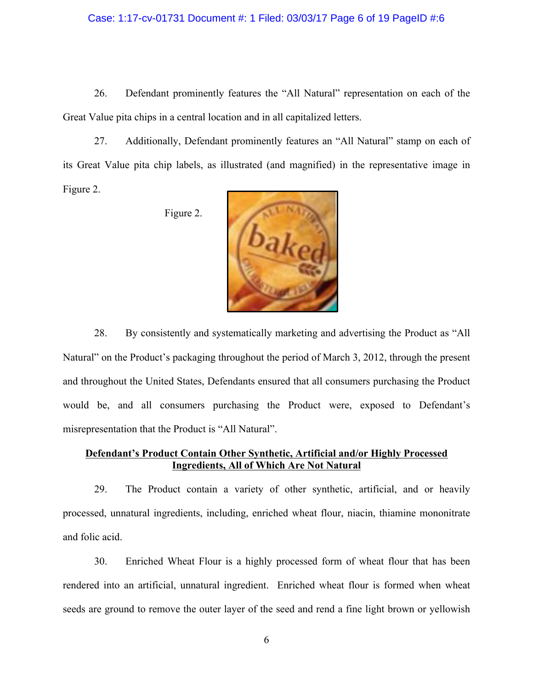#### Case: 1:17-cv-01731 Document #: 1 Filed: 03/03/17 Page 6 of 19 PageID #:6

26. Defendant prominently features the "All Natural" representation on each of the Great Value pita chips in a central location and in all capitalized letters.

27. Additionally, Defendant prominently features an "All Natural" stamp on each of its Great Value pita chip labels, as illustrated (and magnified) in the representative image in Figure 2.

Figure 2.



28. By consistently and systematically marketing and advertising the Product as "All Natural" on the Product's packaging throughout the period of March 3, 2012, through the present and throughout the United States, Defendants ensured that all consumers purchasing the Product would be, and all consumers purchasing the Product were, exposed to Defendant's misrepresentation that the Product is "All Natural".

## **Defendant's Product Contain Other Synthetic, Artificial and/or Highly Processed Ingredients, All of Which Are Not Natural**

29. The Product contain a variety of other synthetic, artificial, and or heavily processed, unnatural ingredients, including, enriched wheat flour, niacin, thiamine mononitrate and folic acid.

30. Enriched Wheat Flour is a highly processed form of wheat flour that has been rendered into an artificial, unnatural ingredient. Enriched wheat flour is formed when wheat seeds are ground to remove the outer layer of the seed and rend a fine light brown or yellowish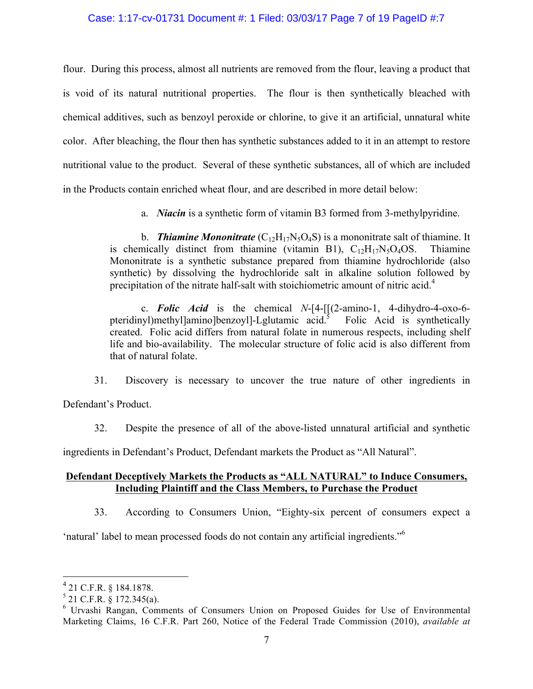## Case: 1:17-cv-01731 Document #: 1 Filed: 03/03/17 Page 7 of 19 PageID #:7

flour. During this process, almost all nutrients are removed from the flour, leaving a product that is void of its natural nutritional properties. The flour is then synthetically bleached with chemical additives, such as benzoyl peroxide or chlorine, to give it an artificial, unnatural white color. After bleaching, the flour then has synthetic substances added to it in an attempt to restore nutritional value to the product. Several of these synthetic substances, all of which are included in the Products contain enriched wheat flour, and are described in more detail below:

a. *Niacin* is a synthetic form of vitamin B3 formed from 3-methylpyridine.

b. **Thiamine Mononitrate**  $(C_{12}H_{17}N_5O_4S)$  is a mononitrate salt of thiamine. It is chemically distinct from thiamine (vitamin B1),  $C_{12}H_{17}N_5O_4OS$ . Thiamine Mononitrate is a synthetic substance prepared from thiamine hydrochloride (also synthetic) by dissolving the hydrochloride salt in alkaline solution followed by precipitation of the nitrate half-salt with stoichiometric amount of nitric acid.<sup>4</sup>

c. *Folic Acid* is the chemical *N*-[4-[[(2-amino-1, 4-dihydro-4-oxo-6 pteridinyl)methyl]amino]benzoyl]-Lglutamic acid.5 Folic Acid is synthetically created. Folic acid differs from natural folate in numerous respects, including shelf life and bio-availability. The molecular structure of folic acid is also different from that of natural folate.

31. Discovery is necessary to uncover the true nature of other ingredients in

Defendant's Product.

32. Despite the presence of all of the above-listed unnatural artificial and synthetic

ingredients in Defendant's Product, Defendant markets the Product as "All Natural".

# **Defendant Deceptively Markets the Products as "ALL NATURAL" to Induce Consumers, Including Plaintiff and the Class Members, to Purchase the Product**

33. According to Consumers Union, "Eighty-six percent of consumers expect a

'natural' label to mean processed foods do not contain any artificial ingredients."<sup>6</sup>

 $^{4}$  21 C.F.R. § 184.1878.

 $5$  21 C.F.R. § 172.345(a).

<sup>6</sup> Urvashi Rangan, Comments of Consumers Union on Proposed Guides for Use of Environmental Marketing Claims, 16 C.F.R. Part 260, Notice of the Federal Trade Commission (2010), *available at*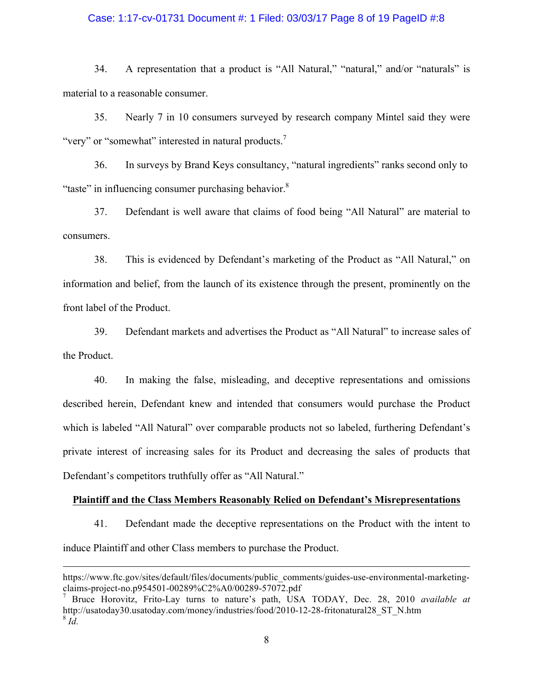#### Case: 1:17-cv-01731 Document #: 1 Filed: 03/03/17 Page 8 of 19 PageID #:8

34. A representation that a product is "All Natural," "natural," and/or "naturals" is material to a reasonable consumer.

35. Nearly 7 in 10 consumers surveyed by research company Mintel said they were "very" or "somewhat" interested in natural products. $\frac{7}{1}$ 

36. In surveys by Brand Keys consultancy, "natural ingredients" ranks second only to "taste" in influencing consumer purchasing behavior.<sup>8</sup>

37. Defendant is well aware that claims of food being "All Natural" are material to consumers.

38. This is evidenced by Defendant's marketing of the Product as "All Natural," on information and belief, from the launch of its existence through the present, prominently on the front label of the Product.

39. Defendant markets and advertises the Product as "All Natural" to increase sales of the Product.

40. In making the false, misleading, and deceptive representations and omissions described herein, Defendant knew and intended that consumers would purchase the Product which is labeled "All Natural" over comparable products not so labeled, furthering Defendant's private interest of increasing sales for its Product and decreasing the sales of products that Defendant's competitors truthfully offer as "All Natural."

## **Plaintiff and the Class Members Reasonably Relied on Defendant's Misrepresentations**

41. Defendant made the deceptive representations on the Product with the intent to induce Plaintiff and other Class members to purchase the Product.

1

https://www.ftc.gov/sites/default/files/documents/public\_comments/guides-use-environmental-marketingclaims-project-no.p954501-00289%C2%A0/00289-57072.pdf

<sup>7</sup> Bruce Horovitz, Frito-Lay turns to nature's path, USA TODAY, Dec. 28, 2010 *available at*  http://usatoday30.usatoday.com/money/industries/food/2010-12-28-fritonatural28\_ST\_N.htm  $8\bar{Id}$ .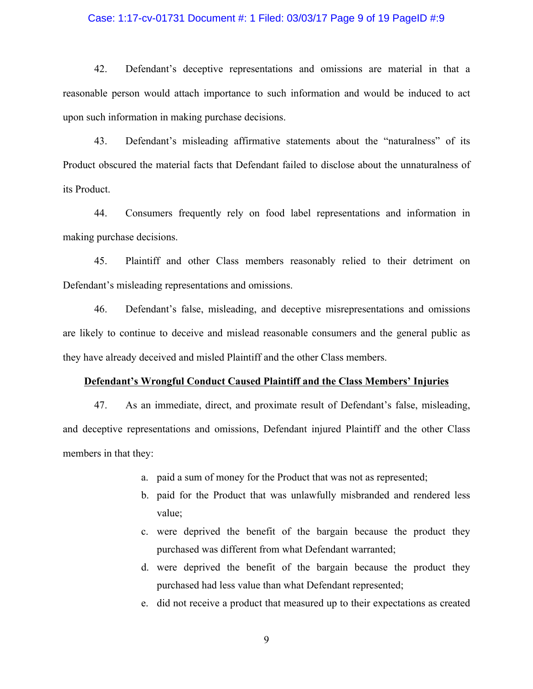#### Case: 1:17-cv-01731 Document #: 1 Filed: 03/03/17 Page 9 of 19 PageID #:9

42. Defendant's deceptive representations and omissions are material in that a reasonable person would attach importance to such information and would be induced to act upon such information in making purchase decisions.

43. Defendant's misleading affirmative statements about the "naturalness" of its Product obscured the material facts that Defendant failed to disclose about the unnaturalness of its Product.

44. Consumers frequently rely on food label representations and information in making purchase decisions.

45. Plaintiff and other Class members reasonably relied to their detriment on Defendant's misleading representations and omissions.

46. Defendant's false, misleading, and deceptive misrepresentations and omissions are likely to continue to deceive and mislead reasonable consumers and the general public as they have already deceived and misled Plaintiff and the other Class members.

#### **Defendant's Wrongful Conduct Caused Plaintiff and the Class Members' Injuries**

47. As an immediate, direct, and proximate result of Defendant's false, misleading, and deceptive representations and omissions, Defendant injured Plaintiff and the other Class members in that they:

- a. paid a sum of money for the Product that was not as represented;
- b. paid for the Product that was unlawfully misbranded and rendered less value;
- c. were deprived the benefit of the bargain because the product they purchased was different from what Defendant warranted;
- d. were deprived the benefit of the bargain because the product they purchased had less value than what Defendant represented;
- e. did not receive a product that measured up to their expectations as created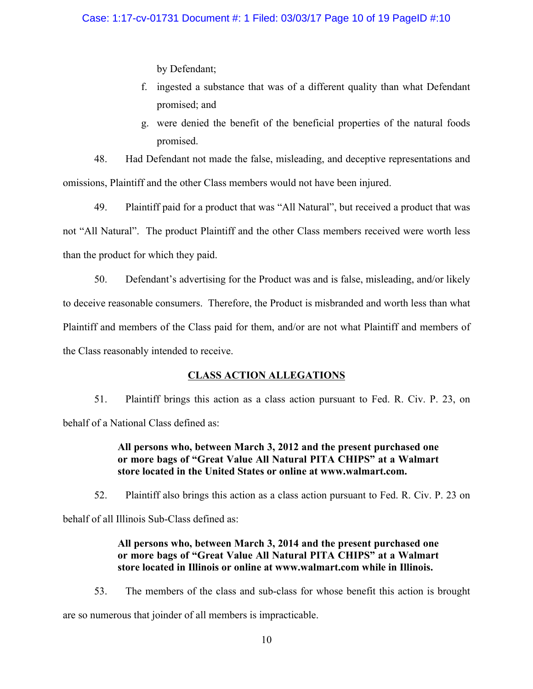by Defendant;

- f. ingested a substance that was of a different quality than what Defendant promised; and
- g. were denied the benefit of the beneficial properties of the natural foods promised.

48. Had Defendant not made the false, misleading, and deceptive representations and omissions, Plaintiff and the other Class members would not have been injured.

49. Plaintiff paid for a product that was "All Natural", but received a product that was not "All Natural". The product Plaintiff and the other Class members received were worth less than the product for which they paid.

50. Defendant's advertising for the Product was and is false, misleading, and/or likely to deceive reasonable consumers. Therefore, the Product is misbranded and worth less than what Plaintiff and members of the Class paid for them, and/or are not what Plaintiff and members of the Class reasonably intended to receive.

# **CLASS ACTION ALLEGATIONS**

51. Plaintiff brings this action as a class action pursuant to Fed. R. Civ. P. 23, on behalf of a National Class defined as:

# **All persons who, between March 3, 2012 and the present purchased one or more bags of "Great Value All Natural PITA CHIPS" at a Walmart store located in the United States or online at www.walmart.com.**

52. Plaintiff also brings this action as a class action pursuant to Fed. R. Civ. P. 23 on

behalf of all Illinois Sub-Class defined as:

# **All persons who, between March 3, 2014 and the present purchased one or more bags of "Great Value All Natural PITA CHIPS" at a Walmart store located in Illinois or online at www.walmart.com while in Illinois.**

53. The members of the class and sub-class for whose benefit this action is brought are so numerous that joinder of all members is impracticable.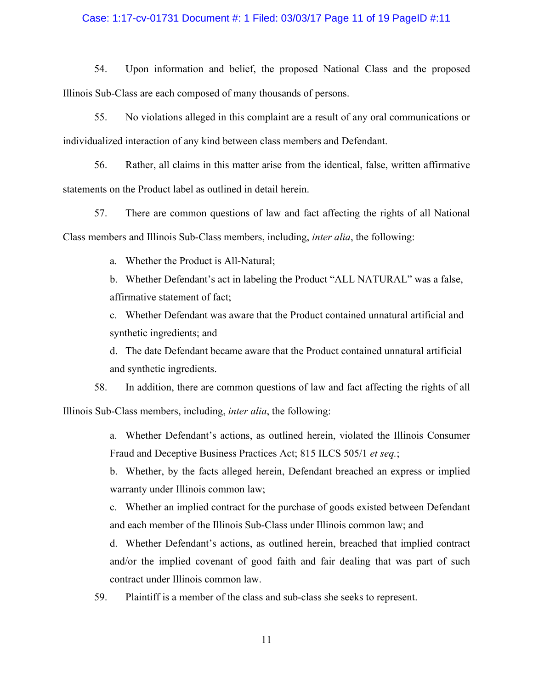#### Case: 1:17-cv-01731 Document #: 1 Filed: 03/03/17 Page 11 of 19 PageID #:11

54. Upon information and belief, the proposed National Class and the proposed Illinois Sub-Class are each composed of many thousands of persons.

55. No violations alleged in this complaint are a result of any oral communications or individualized interaction of any kind between class members and Defendant.

56. Rather, all claims in this matter arise from the identical, false, written affirmative statements on the Product label as outlined in detail herein.

57. There are common questions of law and fact affecting the rights of all National Class members and Illinois Sub-Class members, including, *inter alia*, the following:

a. Whether the Product is All-Natural;

b. Whether Defendant's act in labeling the Product "ALL NATURAL" was a false, affirmative statement of fact;

c. Whether Defendant was aware that the Product contained unnatural artificial and synthetic ingredients; and

d. The date Defendant became aware that the Product contained unnatural artificial and synthetic ingredients.

58. In addition, there are common questions of law and fact affecting the rights of all Illinois Sub-Class members, including, *inter alia*, the following:

> a. Whether Defendant's actions, as outlined herein, violated the Illinois Consumer Fraud and Deceptive Business Practices Act; 815 ILCS 505/1 *et seq.*;

> b. Whether, by the facts alleged herein, Defendant breached an express or implied warranty under Illinois common law;

> c. Whether an implied contract for the purchase of goods existed between Defendant and each member of the Illinois Sub-Class under Illinois common law; and

> d. Whether Defendant's actions, as outlined herein, breached that implied contract and/or the implied covenant of good faith and fair dealing that was part of such contract under Illinois common law.

59. Plaintiff is a member of the class and sub-class she seeks to represent.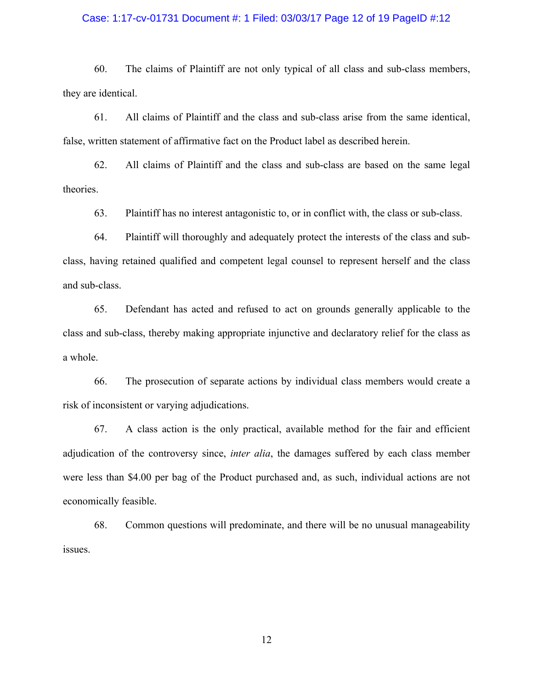#### Case: 1:17-cv-01731 Document #: 1 Filed: 03/03/17 Page 12 of 19 PageID #:12

60. The claims of Plaintiff are not only typical of all class and sub-class members, they are identical.

61. All claims of Plaintiff and the class and sub-class arise from the same identical, false, written statement of affirmative fact on the Product label as described herein.

62. All claims of Plaintiff and the class and sub-class are based on the same legal theories.

63. Plaintiff has no interest antagonistic to, or in conflict with, the class or sub-class.

64. Plaintiff will thoroughly and adequately protect the interests of the class and subclass, having retained qualified and competent legal counsel to represent herself and the class and sub-class.

65. Defendant has acted and refused to act on grounds generally applicable to the class and sub-class, thereby making appropriate injunctive and declaratory relief for the class as a whole.

66. The prosecution of separate actions by individual class members would create a risk of inconsistent or varying adjudications.

67. A class action is the only practical, available method for the fair and efficient adjudication of the controversy since, *inter alia*, the damages suffered by each class member were less than \$4.00 per bag of the Product purchased and, as such, individual actions are not economically feasible.

68. Common questions will predominate, and there will be no unusual manageability issues.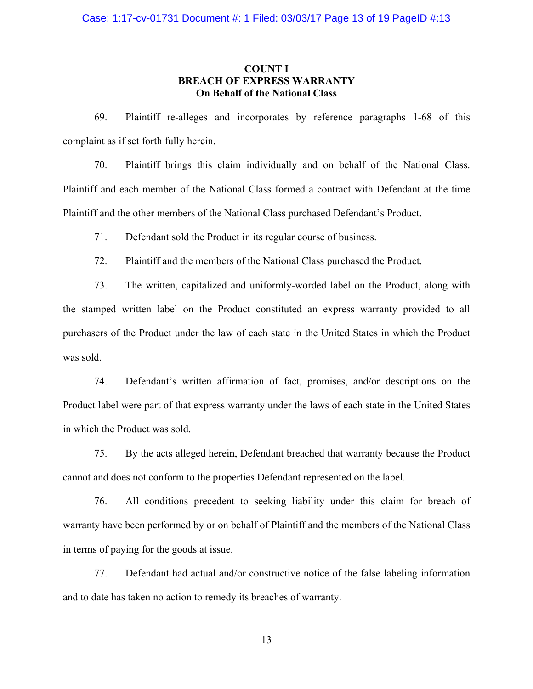## **COUNT I BREACH OF EXPRESS WARRANTY On Behalf of the National Class**

69. Plaintiff re-alleges and incorporates by reference paragraphs 1-68 of this complaint as if set forth fully herein.

70. Plaintiff brings this claim individually and on behalf of the National Class. Plaintiff and each member of the National Class formed a contract with Defendant at the time Plaintiff and the other members of the National Class purchased Defendant's Product.

71. Defendant sold the Product in its regular course of business.

72. Plaintiff and the members of the National Class purchased the Product.

73. The written, capitalized and uniformly-worded label on the Product, along with the stamped written label on the Product constituted an express warranty provided to all purchasers of the Product under the law of each state in the United States in which the Product was sold.

74. Defendant's written affirmation of fact, promises, and/or descriptions on the Product label were part of that express warranty under the laws of each state in the United States in which the Product was sold.

75. By the acts alleged herein, Defendant breached that warranty because the Product cannot and does not conform to the properties Defendant represented on the label.

76. All conditions precedent to seeking liability under this claim for breach of warranty have been performed by or on behalf of Plaintiff and the members of the National Class in terms of paying for the goods at issue.

77. Defendant had actual and/or constructive notice of the false labeling information and to date has taken no action to remedy its breaches of warranty.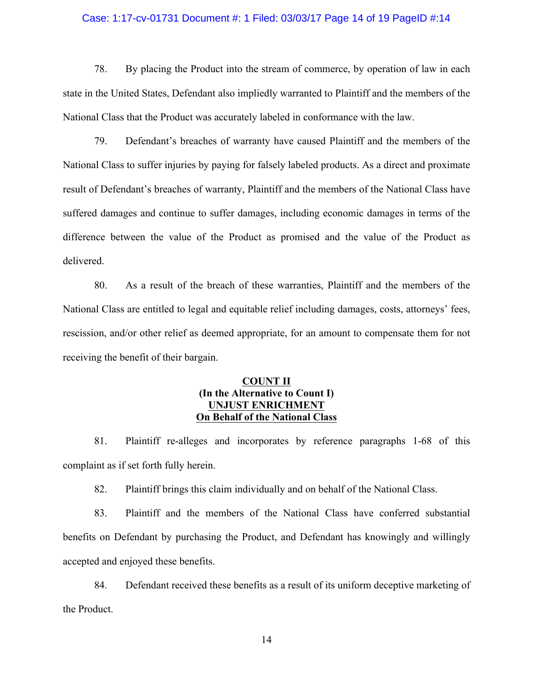#### Case: 1:17-cv-01731 Document #: 1 Filed: 03/03/17 Page 14 of 19 PageID #:14

78. By placing the Product into the stream of commerce, by operation of law in each state in the United States, Defendant also impliedly warranted to Plaintiff and the members of the National Class that the Product was accurately labeled in conformance with the law.

79. Defendant's breaches of warranty have caused Plaintiff and the members of the National Class to suffer injuries by paying for falsely labeled products. As a direct and proximate result of Defendant's breaches of warranty, Plaintiff and the members of the National Class have suffered damages and continue to suffer damages, including economic damages in terms of the difference between the value of the Product as promised and the value of the Product as delivered.

80. As a result of the breach of these warranties, Plaintiff and the members of the National Class are entitled to legal and equitable relief including damages, costs, attorneys' fees, rescission, and/or other relief as deemed appropriate, for an amount to compensate them for not receiving the benefit of their bargain.

# **COUNT II (In the Alternative to Count I) UNJUST ENRICHMENT On Behalf of the National Class**

81. Plaintiff re-alleges and incorporates by reference paragraphs 1-68 of this complaint as if set forth fully herein.

82. Plaintiff brings this claim individually and on behalf of the National Class.

83. Plaintiff and the members of the National Class have conferred substantial benefits on Defendant by purchasing the Product, and Defendant has knowingly and willingly accepted and enjoyed these benefits.

84. Defendant received these benefits as a result of its uniform deceptive marketing of the Product.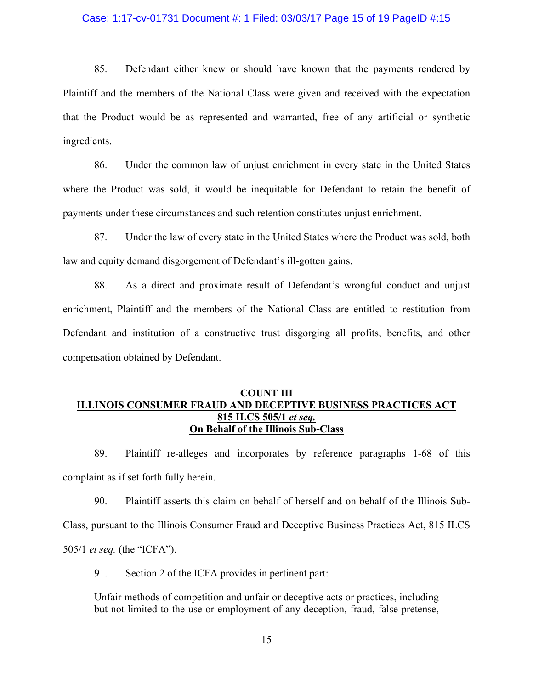#### Case: 1:17-cv-01731 Document #: 1 Filed: 03/03/17 Page 15 of 19 PageID #:15

85. Defendant either knew or should have known that the payments rendered by Plaintiff and the members of the National Class were given and received with the expectation that the Product would be as represented and warranted, free of any artificial or synthetic ingredients.

86. Under the common law of unjust enrichment in every state in the United States where the Product was sold, it would be inequitable for Defendant to retain the benefit of payments under these circumstances and such retention constitutes unjust enrichment.

87. Under the law of every state in the United States where the Product was sold, both law and equity demand disgorgement of Defendant's ill-gotten gains.

88. As a direct and proximate result of Defendant's wrongful conduct and unjust enrichment, Plaintiff and the members of the National Class are entitled to restitution from Defendant and institution of a constructive trust disgorging all profits, benefits, and other compensation obtained by Defendant.

## **COUNT III ILLINOIS CONSUMER FRAUD AND DECEPTIVE BUSINESS PRACTICES ACT 815 ILCS 505/1** *et seq.* **On Behalf of the Illinois Sub-Class**

89. Plaintiff re-alleges and incorporates by reference paragraphs 1-68 of this complaint as if set forth fully herein.

90. Plaintiff asserts this claim on behalf of herself and on behalf of the Illinois Sub-Class, pursuant to the Illinois Consumer Fraud and Deceptive Business Practices Act, 815 ILCS 505/1 *et seq.* (the "ICFA").

91. Section 2 of the ICFA provides in pertinent part:

Unfair methods of competition and unfair or deceptive acts or practices, including but not limited to the use or employment of any deception, fraud, false pretense,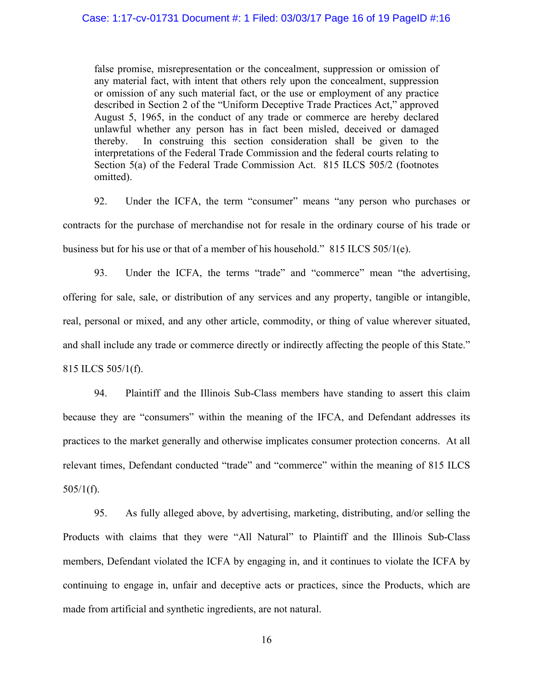false promise, misrepresentation or the concealment, suppression or omission of any material fact, with intent that others rely upon the concealment, suppression or omission of any such material fact, or the use or employment of any practice described in Section 2 of the "Uniform Deceptive Trade Practices Act," approved August 5, 1965, in the conduct of any trade or commerce are hereby declared unlawful whether any person has in fact been misled, deceived or damaged thereby. In construing this section consideration shall be given to the interpretations of the Federal Trade Commission and the federal courts relating to Section 5(a) of the Federal Trade Commission Act. 815 ILCS 505/2 (footnotes omitted).

92. Under the ICFA, the term "consumer" means "any person who purchases or contracts for the purchase of merchandise not for resale in the ordinary course of his trade or business but for his use or that of a member of his household." 815 ILCS 505/1(e).

93. Under the ICFA, the terms "trade" and "commerce" mean "the advertising, offering for sale, sale, or distribution of any services and any property, tangible or intangible, real, personal or mixed, and any other article, commodity, or thing of value wherever situated, and shall include any trade or commerce directly or indirectly affecting the people of this State." 815 ILCS 505/1(f).

94. Plaintiff and the Illinois Sub-Class members have standing to assert this claim because they are "consumers" within the meaning of the IFCA, and Defendant addresses its practices to the market generally and otherwise implicates consumer protection concerns. At all relevant times, Defendant conducted "trade" and "commerce" within the meaning of 815 ILCS  $505/1(f)$ .

95. As fully alleged above, by advertising, marketing, distributing, and/or selling the Products with claims that they were "All Natural" to Plaintiff and the Illinois Sub-Class members, Defendant violated the ICFA by engaging in, and it continues to violate the ICFA by continuing to engage in, unfair and deceptive acts or practices, since the Products, which are made from artificial and synthetic ingredients, are not natural.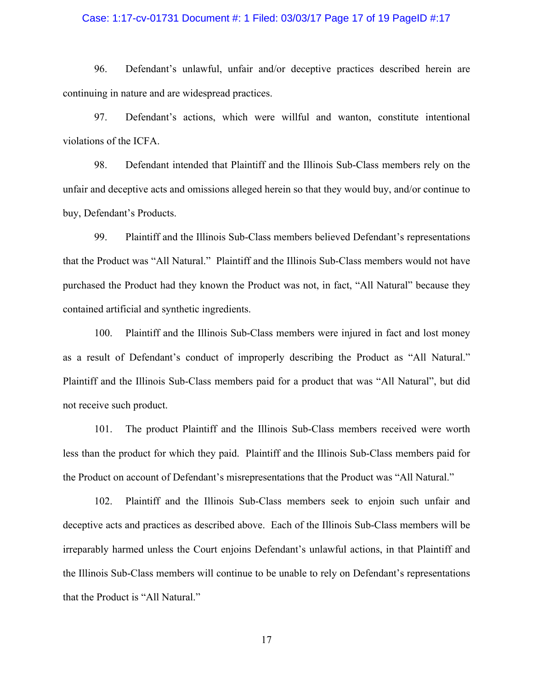#### Case: 1:17-cv-01731 Document #: 1 Filed: 03/03/17 Page 17 of 19 PageID #:17

96. Defendant's unlawful, unfair and/or deceptive practices described herein are continuing in nature and are widespread practices.

97. Defendant's actions, which were willful and wanton, constitute intentional violations of the ICFA.

98. Defendant intended that Plaintiff and the Illinois Sub-Class members rely on the unfair and deceptive acts and omissions alleged herein so that they would buy, and/or continue to buy, Defendant's Products.

99. Plaintiff and the Illinois Sub-Class members believed Defendant's representations that the Product was "All Natural." Plaintiff and the Illinois Sub-Class members would not have purchased the Product had they known the Product was not, in fact, "All Natural" because they contained artificial and synthetic ingredients.

100. Plaintiff and the Illinois Sub-Class members were injured in fact and lost money as a result of Defendant's conduct of improperly describing the Product as "All Natural." Plaintiff and the Illinois Sub-Class members paid for a product that was "All Natural", but did not receive such product.

101. The product Plaintiff and the Illinois Sub-Class members received were worth less than the product for which they paid. Plaintiff and the Illinois Sub-Class members paid for the Product on account of Defendant's misrepresentations that the Product was "All Natural."

102. Plaintiff and the Illinois Sub-Class members seek to enjoin such unfair and deceptive acts and practices as described above. Each of the Illinois Sub-Class members will be irreparably harmed unless the Court enjoins Defendant's unlawful actions, in that Plaintiff and the Illinois Sub-Class members will continue to be unable to rely on Defendant's representations that the Product is "All Natural."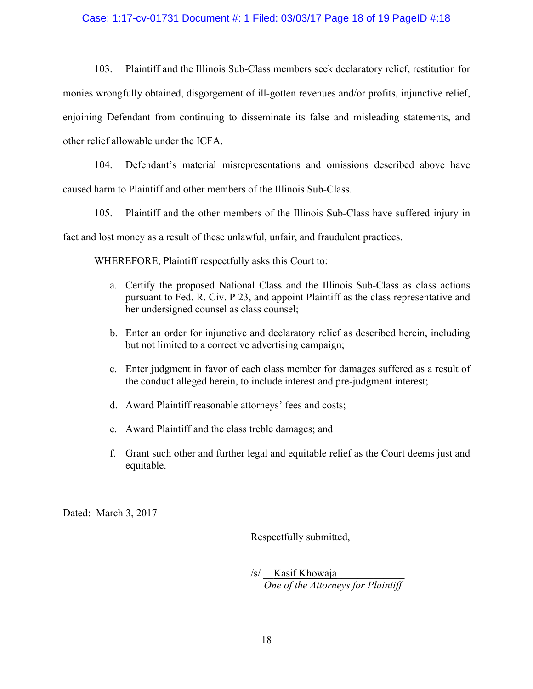### Case: 1:17-cv-01731 Document #: 1 Filed: 03/03/17 Page 18 of 19 PageID #:18

103. Plaintiff and the Illinois Sub-Class members seek declaratory relief, restitution for monies wrongfully obtained, disgorgement of ill-gotten revenues and/or profits, injunctive relief, enjoining Defendant from continuing to disseminate its false and misleading statements, and other relief allowable under the ICFA.

104. Defendant's material misrepresentations and omissions described above have caused harm to Plaintiff and other members of the Illinois Sub-Class.

105. Plaintiff and the other members of the Illinois Sub-Class have suffered injury in fact and lost money as a result of these unlawful, unfair, and fraudulent practices.

WHEREFORE, Plaintiff respectfully asks this Court to:

- a. Certify the proposed National Class and the Illinois Sub-Class as class actions pursuant to Fed. R. Civ. P 23, and appoint Plaintiff as the class representative and her undersigned counsel as class counsel;
- b. Enter an order for injunctive and declaratory relief as described herein, including but not limited to a corrective advertising campaign;
- c. Enter judgment in favor of each class member for damages suffered as a result of the conduct alleged herein, to include interest and pre-judgment interest;
- d. Award Plaintiff reasonable attorneys' fees and costs;
- e. Award Plaintiff and the class treble damages; and
- f. Grant such other and further legal and equitable relief as the Court deems just and equitable.

Dated: March 3, 2017

Respectfully submitted,

/s/ <u>Kasif K</u>howaja  *One of the Attorneys for Plaintiff*